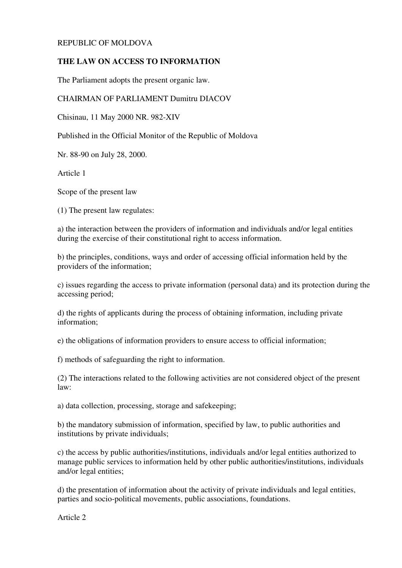## REPUBLIC OF MOLDOVA

## **THE LAW ON ACCESS TO INFORMATION**

The Parliament adopts the present organic law.

## CHAIRMAN OF PARLIAMENT Dumitru DIACOV

Chisinau, 11 May 2000 NR. 982-XIV

Published in the Official Monitor of the Republic of Moldova

Nr. 88-90 on July 28, 2000.

Article 1

Scope of the present law

(1) The present law regulates:

a) the interaction between the providers of information and individuals and/or legal entities during the exercise of their constitutional right to access information.

b) the principles, conditions, ways and order of accessing official information held by the providers of the information;

c) issues regarding the access to private information (personal data) and its protection during the accessing period;

d) the rights of applicants during the process of obtaining information, including private information;

e) the obligations of information providers to ensure access to official information;

f) methods of safeguarding the right to information.

(2) The interactions related to the following activities are not considered object of the present law:

a) data collection, processing, storage and safekeeping;

b) the mandatory submission of information, specified by law, to public authorities and institutions by private individuals;

c) the access by public authorities/institutions, individuals and/or legal entities authorized to manage public services to information held by other public authorities/institutions, individuals and/or legal entities;

d) the presentation of information about the activity of private individuals and legal entities, parties and socio-political movements, public associations, foundations.

Article 2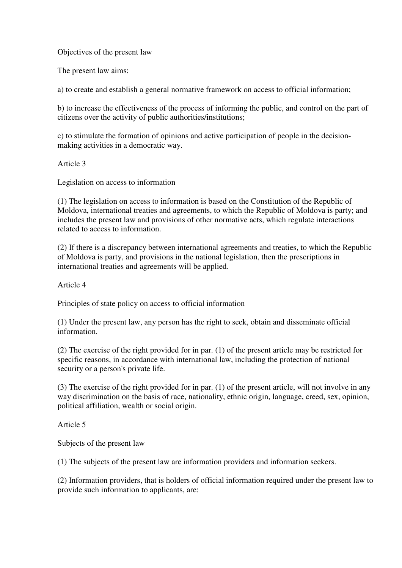Objectives of the present law

The present law aims:

a) to create and establish a general normative framework on access to official information;

b) to increase the effectiveness of the process of informing the public, and control on the part of citizens over the activity of public authorities/institutions;

c) to stimulate the formation of opinions and active participation of people in the decisionmaking activities in a democratic way.

Article 3

Legislation on access to information

(1) The legislation on access to information is based on the Constitution of the Republic of Moldova, international treaties and agreements, to which the Republic of Moldova is party; and includes the present law and provisions of other normative acts, which regulate interactions related to access to information.

(2) If there is a discrepancy between international agreements and treaties, to which the Republic of Moldova is party, and provisions in the national legislation, then the prescriptions in international treaties and agreements will be applied.

Article 4

Principles of state policy on access to official information

(1) Under the present law, any person has the right to seek, obtain and disseminate official information.

(2) The exercise of the right provided for in par. (1) of the present article may be restricted for specific reasons, in accordance with international law, including the protection of national security or a person's private life.

(3) The exercise of the right provided for in par. (1) of the present article, will not involve in any way discrimination on the basis of race, nationality, ethnic origin, language, creed, sex, opinion, political affiliation, wealth or social origin.

Article 5

Subjects of the present law

(1) The subjects of the present law are information providers and information seekers.

(2) Information providers, that is holders of official information required under the present law to provide such information to applicants, are: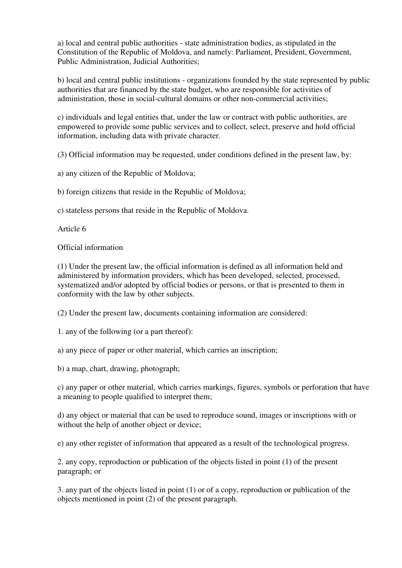a) local and central public authorities - state administration bodies, as stipulated in the Constitution of the Republic of Moldova, and namely: Parliament, President, Government, Public Administration, Judicial Authorities;

b) local and central public institutions - organizations founded by the state represented by public authorities that are financed by the state budget, who are responsible for activities of administration, those in social-cultural domains or other non-commercial activities;

c) individuals and legal entities that, under the law or contract with public authorities, are empowered to provide some public services and to collect, select, preserve and hold official information, including data with private character.

(3) Official information may be requested, under conditions defined in the present law, by:

a) any citizen of the Republic of Moldova;

b) foreign citizens that reside in the Republic of Moldova;

c) stateless persons that reside in the Republic of Moldova.

Article 6

Official information

(1) Under the present law, the official information is defined as all information held and administered by information providers, which has been developed, selected, processed, systematized and/or adopted by official bodies or persons, or that is presented to them in conformity with the law by other subjects.

(2) Under the present law, documents containing information are considered:

1. any of the following (or a part thereof):

a) any piece of paper or other material, which carries an inscription;

b) a map, chart, drawing, photograph;

c) any paper or other material, which carries markings, figures, symbols or perforation that have a meaning to people qualified to interpret them;

d) any object or material that can be used to reproduce sound, images or inscriptions with or without the help of another object or device;

e) any other register of information that appeared as a result of the technological progress.

2. any copy, reproduction or publication of the objects listed in point (1) of the present paragraph; or

3. any part of the objects listed in point (1) or of a copy, reproduction or publication of the objects mentioned in point (2) of the present paragraph.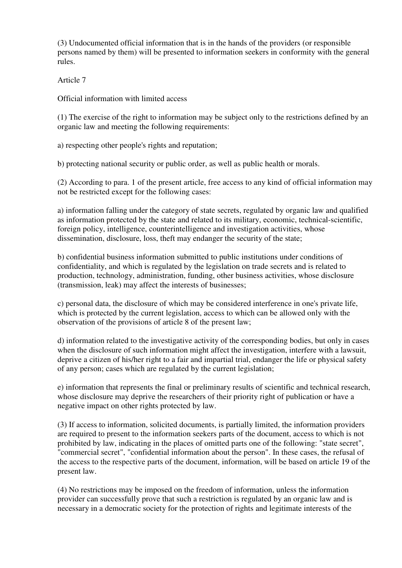(3) Undocumented official information that is in the hands of the providers (or responsible persons named by them) will be presented to information seekers in conformity with the general rules.

Article 7

Official information with limited access

(1) The exercise of the right to information may be subject only to the restrictions defined by an organic law and meeting the following requirements:

a) respecting other people's rights and reputation;

b) protecting national security or public order, as well as public health or morals.

(2) According to para. 1 of the present article, free access to any kind of official information may not be restricted except for the following cases:

a) information falling under the category of state secrets, regulated by organic law and qualified as information protected by the state and related to its military, economic, technical-scientific, foreign policy, intelligence, counterintelligence and investigation activities, whose dissemination, disclosure, loss, theft may endanger the security of the state;

b) confidential business information submitted to public institutions under conditions of confidentiality, and which is regulated by the legislation on trade secrets and is related to production, technology, administration, funding, other business activities, whose disclosure (transmission, leak) may affect the interests of businesses;

c) personal data, the disclosure of which may be considered interference in one's private life, which is protected by the current legislation, access to which can be allowed only with the observation of the provisions of article 8 of the present law;

d) information related to the investigative activity of the corresponding bodies, but only in cases when the disclosure of such information might affect the investigation, interfere with a lawsuit, deprive a citizen of his/her right to a fair and impartial trial, endanger the life or physical safety of any person; cases which are regulated by the current legislation;

e) information that represents the final or preliminary results of scientific and technical research, whose disclosure may deprive the researchers of their priority right of publication or have a negative impact on other rights protected by law.

(3) If access to information, solicited documents, is partially limited, the information providers are required to present to the information seekers parts of the document, access to which is not prohibited by law, indicating in the places of omitted parts one of the following: "state secret", "commercial secret", "confidential information about the person". In these cases, the refusal of the access to the respective parts of the document, information, will be based on article 19 of the present law.

(4) No restrictions may be imposed on the freedom of information, unless the information provider can successfully prove that such a restriction is regulated by an organic law and is necessary in a democratic society for the protection of rights and legitimate interests of the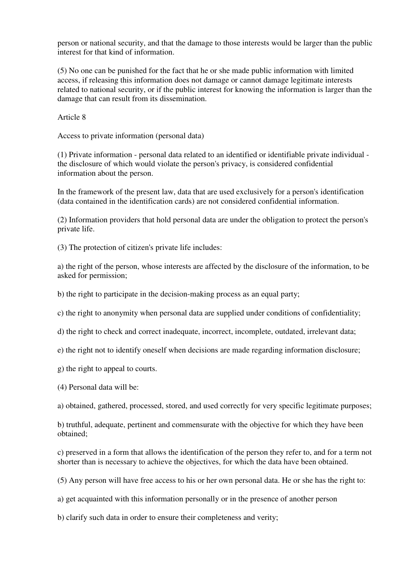person or national security, and that the damage to those interests would be larger than the public interest for that kind of information.

(5) No one can be punished for the fact that he or she made public information with limited access, if releasing this information does not damage or cannot damage legitimate interests related to national security, or if the public interest for knowing the information is larger than the damage that can result from its dissemination.

Article 8

Access to private information (personal data)

(1) Private information - personal data related to an identified or identifiable private individual the disclosure of which would violate the person's privacy, is considered confidential information about the person.

In the framework of the present law, data that are used exclusively for a person's identification (data contained in the identification cards) are not considered confidential information.

(2) Information providers that hold personal data are under the obligation to protect the person's private life.

(3) The protection of citizen's private life includes:

a) the right of the person, whose interests are affected by the disclosure of the information, to be asked for permission;

b) the right to participate in the decision-making process as an equal party;

c) the right to anonymity when personal data are supplied under conditions of confidentiality;

d) the right to check and correct inadequate, incorrect, incomplete, outdated, irrelevant data;

e) the right not to identify oneself when decisions are made regarding information disclosure;

g) the right to appeal to courts.

(4) Personal data will be:

a) obtained, gathered, processed, stored, and used correctly for very specific legitimate purposes;

b) truthful, adequate, pertinent and commensurate with the objective for which they have been obtained;

c) preserved in a form that allows the identification of the person they refer to, and for a term not shorter than is necessary to achieve the objectives, for which the data have been obtained.

(5) Any person will have free access to his or her own personal data. He or she has the right to:

a) get acquainted with this information personally or in the presence of another person

b) clarify such data in order to ensure their completeness and verity;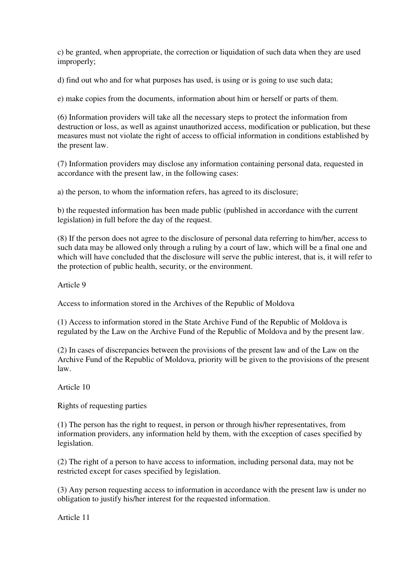c) be granted, when appropriate, the correction or liquidation of such data when they are used improperly;

d) find out who and for what purposes has used, is using or is going to use such data;

e) make copies from the documents, information about him or herself or parts of them.

(6) Information providers will take all the necessary steps to protect the information from destruction or loss, as well as against unauthorized access, modification or publication, but these measures must not violate the right of access to official information in conditions established by the present law.

(7) Information providers may disclose any information containing personal data, requested in accordance with the present law, in the following cases:

a) the person, to whom the information refers, has agreed to its disclosure;

b) the requested information has been made public (published in accordance with the current legislation) in full before the day of the request.

(8) If the person does not agree to the disclosure of personal data referring to him/her, access to such data may be allowed only through a ruling by a court of law, which will be a final one and which will have concluded that the disclosure will serve the public interest, that is, it will refer to the protection of public health, security, or the environment.

Article 9

Access to information stored in the Archives of the Republic of Moldova

(1) Access to information stored in the State Archive Fund of the Republic of Moldova is regulated by the Law on the Archive Fund of the Republic of Moldova and by the present law.

(2) In cases of discrepancies between the provisions of the present law and of the Law on the Archive Fund of the Republic of Moldova, priority will be given to the provisions of the present law.

Article 10

Rights of requesting parties

(1) The person has the right to request, in person or through his/her representatives, from information providers, any information held by them, with the exception of cases specified by legislation.

(2) The right of a person to have access to information, including personal data, may not be restricted except for cases specified by legislation.

(3) Any person requesting access to information in accordance with the present law is under no obligation to justify his/her interest for the requested information.

Article 11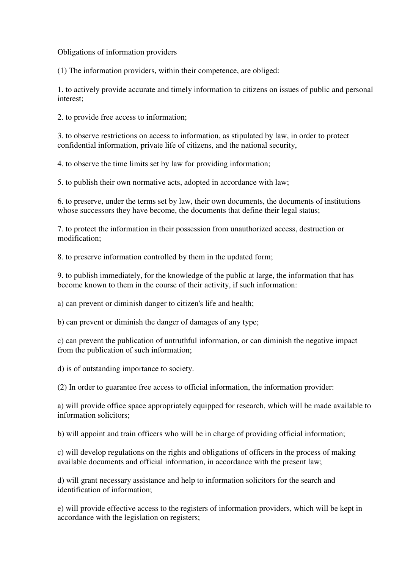Obligations of information providers

(1) The information providers, within their competence, are obliged:

1. to actively provide accurate and timely information to citizens on issues of public and personal interest;

2. to provide free access to information;

3. to observe restrictions on access to information, as stipulated by law, in order to protect confidential information, private life of citizens, and the national security,

4. to observe the time limits set by law for providing information;

5. to publish their own normative acts, adopted in accordance with law;

6. to preserve, under the terms set by law, their own documents, the documents of institutions whose successors they have become, the documents that define their legal status;

7. to protect the information in their possession from unauthorized access, destruction or modification;

8. to preserve information controlled by them in the updated form;

9. to publish immediately, for the knowledge of the public at large, the information that has become known to them in the course of their activity, if such information:

a) can prevent or diminish danger to citizen's life and health;

b) can prevent or diminish the danger of damages of any type;

c) can prevent the publication of untruthful information, or can diminish the negative impact from the publication of such information;

d) is of outstanding importance to society.

(2) In order to guarantee free access to official information, the information provider:

a) will provide office space appropriately equipped for research, which will be made available to information solicitors;

b) will appoint and train officers who will be in charge of providing official information;

c) will develop regulations on the rights and obligations of officers in the process of making available documents and official information, in accordance with the present law;

d) will grant necessary assistance and help to information solicitors for the search and identification of information;

e) will provide effective access to the registers of information providers, which will be kept in accordance with the legislation on registers;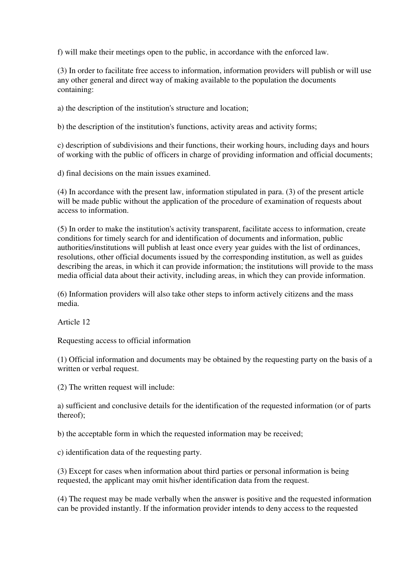f) will make their meetings open to the public, in accordance with the enforced law.

(3) In order to facilitate free access to information, information providers will publish or will use any other general and direct way of making available to the population the documents containing:

a) the description of the institution's structure and location;

b) the description of the institution's functions, activity areas and activity forms;

c) description of subdivisions and their functions, their working hours, including days and hours of working with the public of officers in charge of providing information and official documents;

d) final decisions on the main issues examined.

(4) In accordance with the present law, information stipulated in para. (3) of the present article will be made public without the application of the procedure of examination of requests about access to information.

(5) In order to make the institution's activity transparent, facilitate access to information, create conditions for timely search for and identification of documents and information, public authorities/institutions will publish at least once every year guides with the list of ordinances, resolutions, other official documents issued by the corresponding institution, as well as guides describing the areas, in which it can provide information; the institutions will provide to the mass media official data about their activity, including areas, in which they can provide information.

(6) Information providers will also take other steps to inform actively citizens and the mass media.

Article 12

Requesting access to official information

(1) Official information and documents may be obtained by the requesting party on the basis of a written or verbal request.

(2) The written request will include:

a) sufficient and conclusive details for the identification of the requested information (or of parts thereof);

b) the acceptable form in which the requested information may be received;

c) identification data of the requesting party.

(3) Except for cases when information about third parties or personal information is being requested, the applicant may omit his/her identification data from the request.

(4) The request may be made verbally when the answer is positive and the requested information can be provided instantly. If the information provider intends to deny access to the requested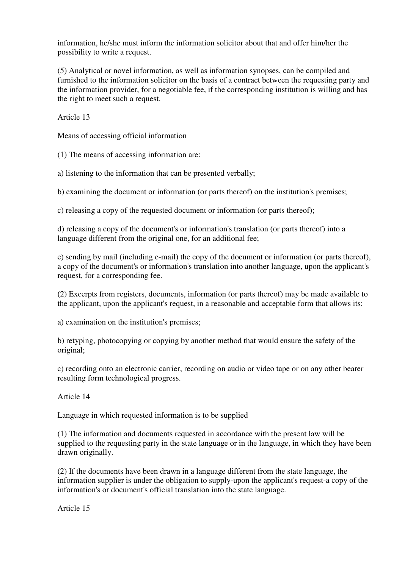information, he/she must inform the information solicitor about that and offer him/her the possibility to write a request.

(5) Analytical or novel information, as well as information synopses, can be compiled and furnished to the information solicitor on the basis of a contract between the requesting party and the information provider, for a negotiable fee, if the corresponding institution is willing and has the right to meet such a request.

Article 13

Means of accessing official information

(1) The means of accessing information are:

a) listening to the information that can be presented verbally;

b) examining the document or information (or parts thereof) on the institution's premises;

c) releasing a copy of the requested document or information (or parts thereof);

d) releasing a copy of the document's or information's translation (or parts thereof) into a language different from the original one, for an additional fee;

e) sending by mail (including e-mail) the copy of the document or information (or parts thereof), a copy of the document's or information's translation into another language, upon the applicant's request, for a corresponding fee.

(2) Excerpts from registers, documents, information (or parts thereof) may be made available to the applicant, upon the applicant's request, in a reasonable and acceptable form that allows its:

a) examination on the institution's premises;

b) retyping, photocopying or copying by another method that would ensure the safety of the original;

c) recording onto an electronic carrier, recording on audio or video tape or on any other bearer resulting form technological progress.

Article 14

Language in which requested information is to be supplied

(1) The information and documents requested in accordance with the present law will be supplied to the requesting party in the state language or in the language, in which they have been drawn originally.

(2) If the documents have been drawn in a language different from the state language, the information supplier is under the obligation to supply-upon the applicant's request-a copy of the information's or document's official translation into the state language.

Article 15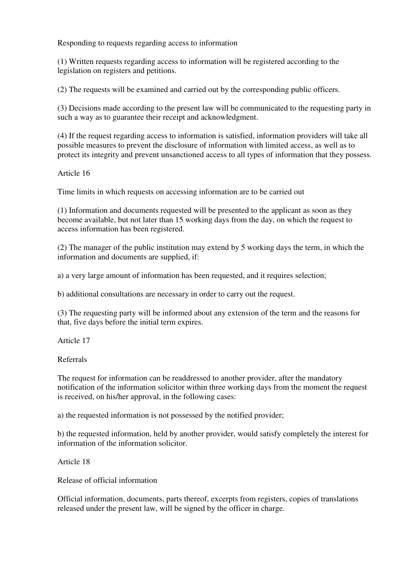Responding to requests regarding access to information

(1) Written requests regarding access to information will be registered according to the legislation on registers and petitions.

(2) The requests will be examined and carried out by the corresponding public officers.

(3) Decisions made according to the present law will be communicated to the requesting party in such a way as to guarantee their receipt and acknowledgment.

(4) If the request regarding access to information is satisfied, information providers will take all possible measures to prevent the disclosure of information with limited access, as well as to protect its integrity and prevent unsanctioned access to all types of information that they possess.

Article 16

Time limits in which requests on accessing information are to be carried out

(1) Information and documents requested will be presented to the applicant as soon as they become available, but not later than 15 working days from the day, on which the request to access information has been registered.

(2) The manager of the public institution may extend by 5 working days the term, in which the information and documents are supplied, if:

a) a very large amount of information has been requested, and it requires selection;

b) additional consultations are necessary in order to carry out the request.

(3) The requesting party will be informed about any extension of the term and the reasons for that, five days before the initial term expires.

Article 17

Referrals

The request for information can be readdressed to another provider, after the mandatory notification of the information solicitor within three working days from the moment the request is received, on his/her approval, in the following cases:

a) the requested information is not possessed by the notified provider;

b) the requested information, held by another provider, would satisfy completely the interest for information of the information solicitor.

Article 18

Release of official information

Official information, documents, parts thereof, excerpts from registers, copies of translations released under the present law, will be signed by the officer in charge.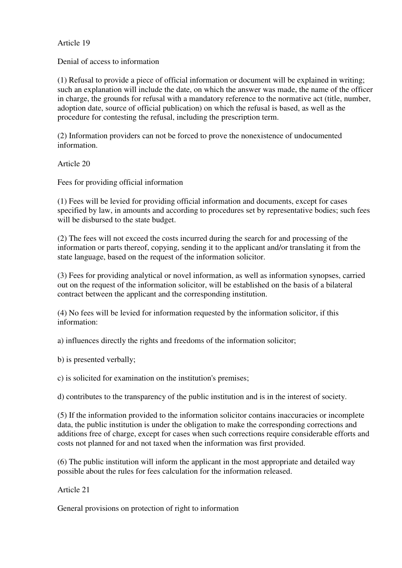Article 19

Denial of access to information

(1) Refusal to provide a piece of official information or document will be explained in writing; such an explanation will include the date, on which the answer was made, the name of the officer in charge, the grounds for refusal with a mandatory reference to the normative act (title, number, adoption date, source of official publication) on which the refusal is based, as well as the procedure for contesting the refusal, including the prescription term.

(2) Information providers can not be forced to prove the nonexistence of undocumented information.

Article 20

Fees for providing official information

(1) Fees will be levied for providing official information and documents, except for cases specified by law, in amounts and according to procedures set by representative bodies; such fees will be disbursed to the state budget.

(2) The fees will not exceed the costs incurred during the search for and processing of the information or parts thereof, copying, sending it to the applicant and/or translating it from the state language, based on the request of the information solicitor.

(3) Fees for providing analytical or novel information, as well as information synopses, carried out on the request of the information solicitor, will be established on the basis of a bilateral contract between the applicant and the corresponding institution.

(4) No fees will be levied for information requested by the information solicitor, if this information:

a) influences directly the rights and freedoms of the information solicitor;

b) is presented verbally;

c) is solicited for examination on the institution's premises;

d) contributes to the transparency of the public institution and is in the interest of society.

(5) If the information provided to the information solicitor contains inaccuracies or incomplete data, the public institution is under the obligation to make the corresponding corrections and additions free of charge, except for cases when such corrections require considerable efforts and costs not planned for and not taxed when the information was first provided.

(6) The public institution will inform the applicant in the most appropriate and detailed way possible about the rules for fees calculation for the information released.

Article 21

General provisions on protection of right to information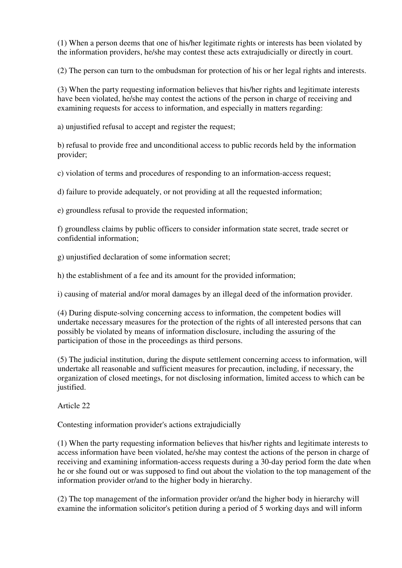(1) When a person deems that one of his/her legitimate rights or interests has been violated by the information providers, he/she may contest these acts extrajudicially or directly in court.

(2) The person can turn to the ombudsman for protection of his or her legal rights and interests.

(3) When the party requesting information believes that his/her rights and legitimate interests have been violated, he/she may contest the actions of the person in charge of receiving and examining requests for access to information, and especially in matters regarding:

a) unjustified refusal to accept and register the request;

b) refusal to provide free and unconditional access to public records held by the information provider;

c) violation of terms and procedures of responding to an information-access request;

d) failure to provide adequately, or not providing at all the requested information;

e) groundless refusal to provide the requested information;

f) groundless claims by public officers to consider information state secret, trade secret or confidential information;

g) unjustified declaration of some information secret;

h) the establishment of a fee and its amount for the provided information;

i) causing of material and/or moral damages by an illegal deed of the information provider.

(4) During dispute-solving concerning access to information, the competent bodies will undertake necessary measures for the protection of the rights of all interested persons that can possibly be violated by means of information disclosure, including the assuring of the participation of those in the proceedings as third persons.

(5) The judicial institution, during the dispute settlement concerning access to information, will undertake all reasonable and sufficient measures for precaution, including, if necessary, the organization of closed meetings, for not disclosing information, limited access to which can be justified.

Article 22

Contesting information provider's actions extrajudicially

(1) When the party requesting information believes that his/her rights and legitimate interests to access information have been violated, he/she may contest the actions of the person in charge of receiving and examining information-access requests during a 30-day period form the date when he or she found out or was supposed to find out about the violation to the top management of the information provider or/and to the higher body in hierarchy.

(2) The top management of the information provider or/and the higher body in hierarchy will examine the information solicitor's petition during a period of 5 working days and will inform